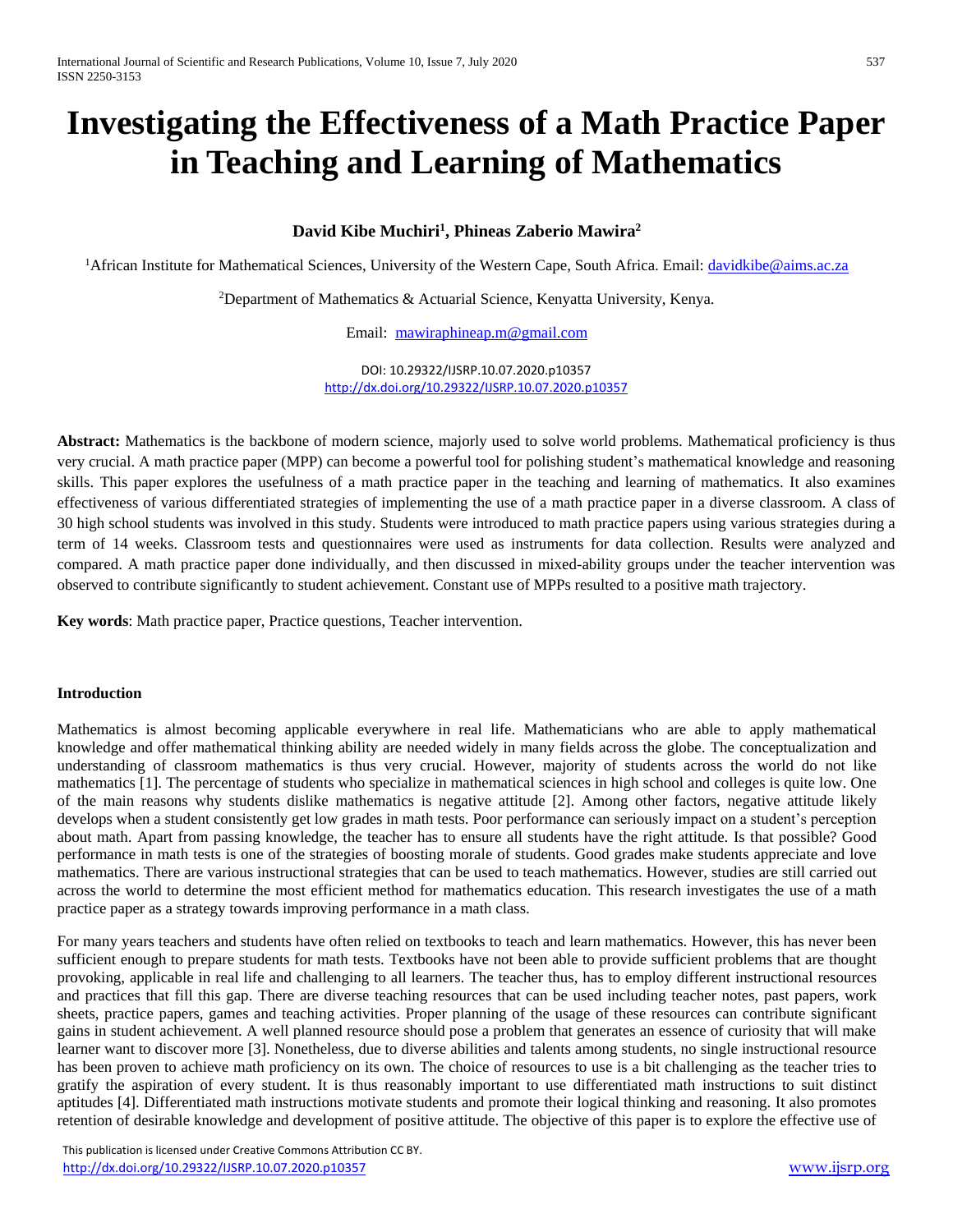# **Investigating the Effectiveness of a Math Practice Paper in Teaching and Learning of Mathematics**

# **David Kibe Muchiri<sup>1</sup> , Phineas Zaberio Mawira<sup>2</sup>**

<sup>1</sup>African Institute for Mathematical Sciences, University of the Western Cape, South Africa. Email: [davidkibe@aims.ac.za](mailto:davidkibe@aims.ac.za)

<sup>2</sup>Department of Mathematics & Actuarial Science, Kenyatta University, Kenya.

Email: [mawiraphineap.m@gmail.com](mailto:mawiraphineap.m@gmail.com)

DOI: 10.29322/IJSRP.10.07.2020.p10357 <http://dx.doi.org/10.29322/IJSRP.10.07.2020.p10357>

**Abstract:** Mathematics is the backbone of modern science, majorly used to solve world problems. Mathematical proficiency is thus very crucial. A math practice paper (MPP) can become a powerful tool for polishing student's mathematical knowledge and reasoning skills. This paper explores the usefulness of a math practice paper in the teaching and learning of mathematics. It also examines effectiveness of various differentiated strategies of implementing the use of a math practice paper in a diverse classroom. A class of 30 high school students was involved in this study. Students were introduced to math practice papers using various strategies during a term of 14 weeks. Classroom tests and questionnaires were used as instruments for data collection. Results were analyzed and compared. A math practice paper done individually, and then discussed in mixed-ability groups under the teacher intervention was observed to contribute significantly to student achievement. Constant use of MPPs resulted to a positive math trajectory.

**Key words**: Math practice paper, Practice questions, Teacher intervention.

# **Introduction**

Mathematics is almost becoming applicable everywhere in real life. Mathematicians who are able to apply mathematical knowledge and offer mathematical thinking ability are needed widely in many fields across the globe. The conceptualization and understanding of classroom mathematics is thus very crucial. However, majority of students across the world do not like mathematics [1]. The percentage of students who specialize in mathematical sciences in high school and colleges is quite low. One of the main reasons why students dislike mathematics is negative attitude [2]. Among other factors, negative attitude likely develops when a student consistently get low grades in math tests. Poor performance can seriously impact on a student's perception about math. Apart from passing knowledge, the teacher has to ensure all students have the right attitude. Is that possible? Good performance in math tests is one of the strategies of boosting morale of students. Good grades make students appreciate and love mathematics. There are various instructional strategies that can be used to teach mathematics. However, studies are still carried out across the world to determine the most efficient method for mathematics education. This research investigates the use of a math practice paper as a strategy towards improving performance in a math class.

For many years teachers and students have often relied on textbooks to teach and learn mathematics. However, this has never been sufficient enough to prepare students for math tests. Textbooks have not been able to provide sufficient problems that are thought provoking, applicable in real life and challenging to all learners. The teacher thus, has to employ different instructional resources and practices that fill this gap. There are diverse teaching resources that can be used including teacher notes, past papers, work sheets, practice papers, games and teaching activities. Proper planning of the usage of these resources can contribute significant gains in student achievement. A well planned resource should pose a problem that generates an essence of curiosity that will make learner want to discover more [3]. Nonetheless, due to diverse abilities and talents among students, no single instructional resource has been proven to achieve math proficiency on its own. The choice of resources to use is a bit challenging as the teacher tries to gratify the aspiration of every student. It is thus reasonably important to use differentiated math instructions to suit distinct aptitudes [4]. Differentiated math instructions motivate students and promote their logical thinking and reasoning. It also promotes retention of desirable knowledge and development of positive attitude. The objective of this paper is to explore the effective use of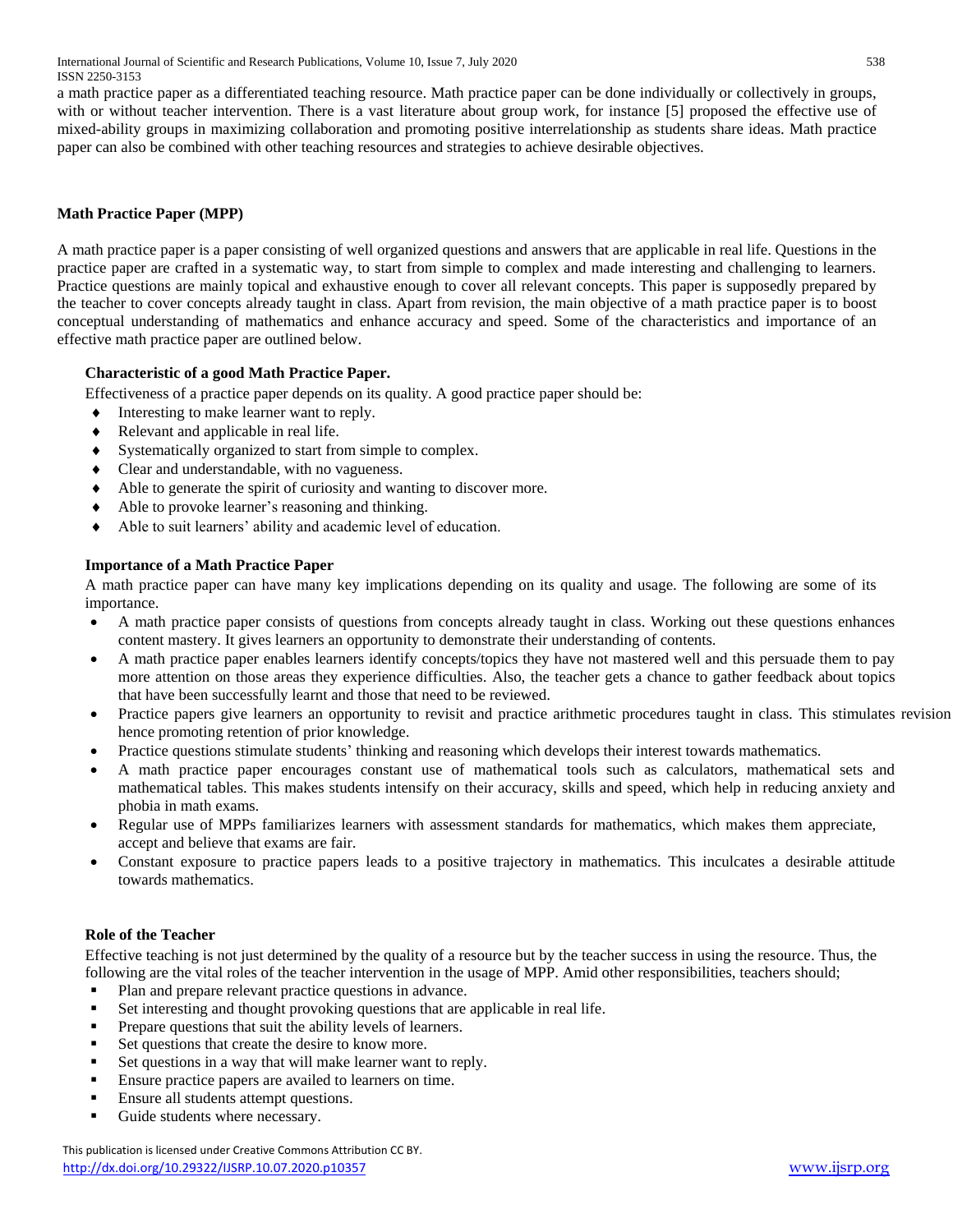International Journal of Scientific and Research Publications, Volume 10, Issue 7, July 2020 538 ISSN 2250-3153

a math practice paper as a differentiated teaching resource. Math practice paper can be done individually or collectively in groups, with or without teacher intervention. There is a vast literature about group work, for instance [5] proposed the effective use of mixed-ability groups in maximizing collaboration and promoting positive interrelationship as students share ideas. Math practice paper can also be combined with other teaching resources and strategies to achieve desirable objectives.

# **Math Practice Paper (MPP)**

A math practice paper is a paper consisting of well organized questions and answers that are applicable in real life. Questions in the practice paper are crafted in a systematic way, to start from simple to complex and made interesting and challenging to learners. Practice questions are mainly topical and exhaustive enough to cover all relevant concepts. This paper is supposedly prepared by the teacher to cover concepts already taught in class. Apart from revision, the main objective of a math practice paper is to boost conceptual understanding of mathematics and enhance accuracy and speed. Some of the characteristics and importance of an effective math practice paper are outlined below.

## **Characteristic of a good Math Practice Paper.**

Effectiveness of a practice paper depends on its quality. A good practice paper should be:

- $\bullet$  Interesting to make learner want to reply.
- Relevant and applicable in real life.
- Systematically organized to start from simple to complex.
- Clear and understandable, with no vagueness.
- Able to generate the spirit of curiosity and wanting to discover more.
- Able to provoke learner's reasoning and thinking.
- Able to suit learners' ability and academic level of education.

## **Importance of a Math Practice Paper**

A math practice paper can have many key implications depending on its quality and usage. The following are some of its importance.

- A math practice paper consists of questions from concepts already taught in class. Working out these questions enhances content mastery. It gives learners an opportunity to demonstrate their understanding of contents.
- A math practice paper enables learners identify concepts/topics they have not mastered well and this persuade them to pay more attention on those areas they experience difficulties. Also, the teacher gets a chance to gather feedback about topics that have been successfully learnt and those that need to be reviewed.
- Practice papers give learners an opportunity to revisit and practice arithmetic procedures taught in class. This stimulates revision hence promoting retention of prior knowledge.
- Practice questions stimulate students' thinking and reasoning which develops their interest towards mathematics.
- A math practice paper encourages constant use of mathematical tools such as calculators, mathematical sets and mathematical tables. This makes students intensify on their accuracy, skills and speed, which help in reducing anxiety and phobia in math exams.
- Regular use of MPPs familiarizes learners with assessment standards for mathematics, which makes them appreciate, accept and believe that exams are fair.
- Constant exposure to practice papers leads to a positive trajectory in mathematics. This inculcates a desirable attitude towards mathematics.

#### **Role of the Teacher**

Effective teaching is not just determined by the quality of a resource but by the teacher success in using the resource. Thus, the following are the vital roles of the teacher intervention in the usage of MPP. Amid other responsibilities, teachers should;

- Plan and prepare relevant practice questions in advance.
- Set interesting and thought provoking questions that are applicable in real life.
- **Prepare questions that suit the ability levels of learners.**
- Set questions that create the desire to know more.
- Set questions in a way that will make learner want to reply.
- Ensure practice papers are availed to learners on time.
- Ensure all students attempt questions.
- Guide students where necessary.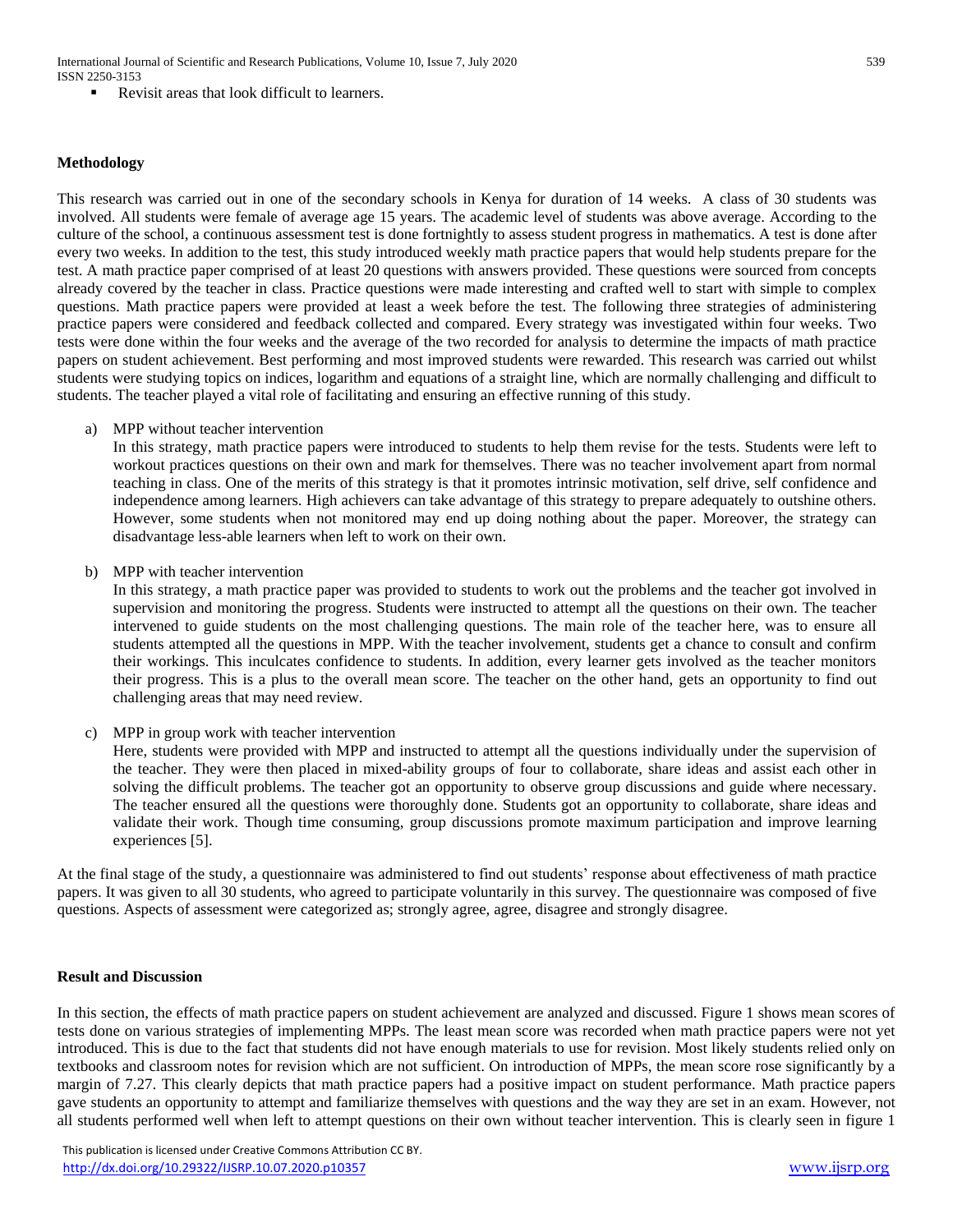International Journal of Scientific and Research Publications, Volume 10, Issue 7, July 2020 539 ISSN 2250-3153

Revisit areas that look difficult to learners.

#### **Methodology**

This research was carried out in one of the secondary schools in Kenya for duration of 14 weeks. A class of 30 students was involved. All students were female of average age 15 years. The academic level of students was above average. According to the culture of the school, a continuous assessment test is done fortnightly to assess student progress in mathematics. A test is done after every two weeks. In addition to the test, this study introduced weekly math practice papers that would help students prepare for the test. A math practice paper comprised of at least 20 questions with answers provided. These questions were sourced from concepts already covered by the teacher in class. Practice questions were made interesting and crafted well to start with simple to complex questions. Math practice papers were provided at least a week before the test. The following three strategies of administering practice papers were considered and feedback collected and compared. Every strategy was investigated within four weeks. Two tests were done within the four weeks and the average of the two recorded for analysis to determine the impacts of math practice papers on student achievement. Best performing and most improved students were rewarded. This research was carried out whilst students were studying topics on indices, logarithm and equations of a straight line, which are normally challenging and difficult to students. The teacher played a vital role of facilitating and ensuring an effective running of this study.

a) MPP without teacher intervention

In this strategy, math practice papers were introduced to students to help them revise for the tests. Students were left to workout practices questions on their own and mark for themselves. There was no teacher involvement apart from normal teaching in class. One of the merits of this strategy is that it promotes intrinsic motivation, self drive, self confidence and independence among learners. High achievers can take advantage of this strategy to prepare adequately to outshine others. However, some students when not monitored may end up doing nothing about the paper. Moreover, the strategy can disadvantage less-able learners when left to work on their own.

b) MPP with teacher intervention

In this strategy, a math practice paper was provided to students to work out the problems and the teacher got involved in supervision and monitoring the progress. Students were instructed to attempt all the questions on their own. The teacher intervened to guide students on the most challenging questions. The main role of the teacher here, was to ensure all students attempted all the questions in MPP. With the teacher involvement, students get a chance to consult and confirm their workings. This inculcates confidence to students. In addition, every learner gets involved as the teacher monitors their progress. This is a plus to the overall mean score. The teacher on the other hand, gets an opportunity to find out challenging areas that may need review.

c) MPP in group work with teacher intervention

Here, students were provided with MPP and instructed to attempt all the questions individually under the supervision of the teacher. They were then placed in mixed-ability groups of four to collaborate, share ideas and assist each other in solving the difficult problems. The teacher got an opportunity to observe group discussions and guide where necessary. The teacher ensured all the questions were thoroughly done. Students got an opportunity to collaborate, share ideas and validate their work. Though time consuming, group discussions promote maximum participation and improve learning experiences [5].

At the final stage of the study, a questionnaire was administered to find out students' response about effectiveness of math practice papers. It was given to all 30 students, who agreed to participate voluntarily in this survey. The questionnaire was composed of five questions. Aspects of assessment were categorized as; strongly agree, agree, disagree and strongly disagree.

#### **Result and Discussion**

In this section, the effects of math practice papers on student achievement are analyzed and discussed. Figure 1 shows mean scores of tests done on various strategies of implementing MPPs. The least mean score was recorded when math practice papers were not yet introduced. This is due to the fact that students did not have enough materials to use for revision. Most likely students relied only on textbooks and classroom notes for revision which are not sufficient. On introduction of MPPs, the mean score rose significantly by a margin of 7.27. This clearly depicts that math practice papers had a positive impact on student performance. Math practice papers gave students an opportunity to attempt and familiarize themselves with questions and the way they are set in an exam. However, not all students performed well when left to attempt questions on their own without teacher intervention. This is clearly seen in figure 1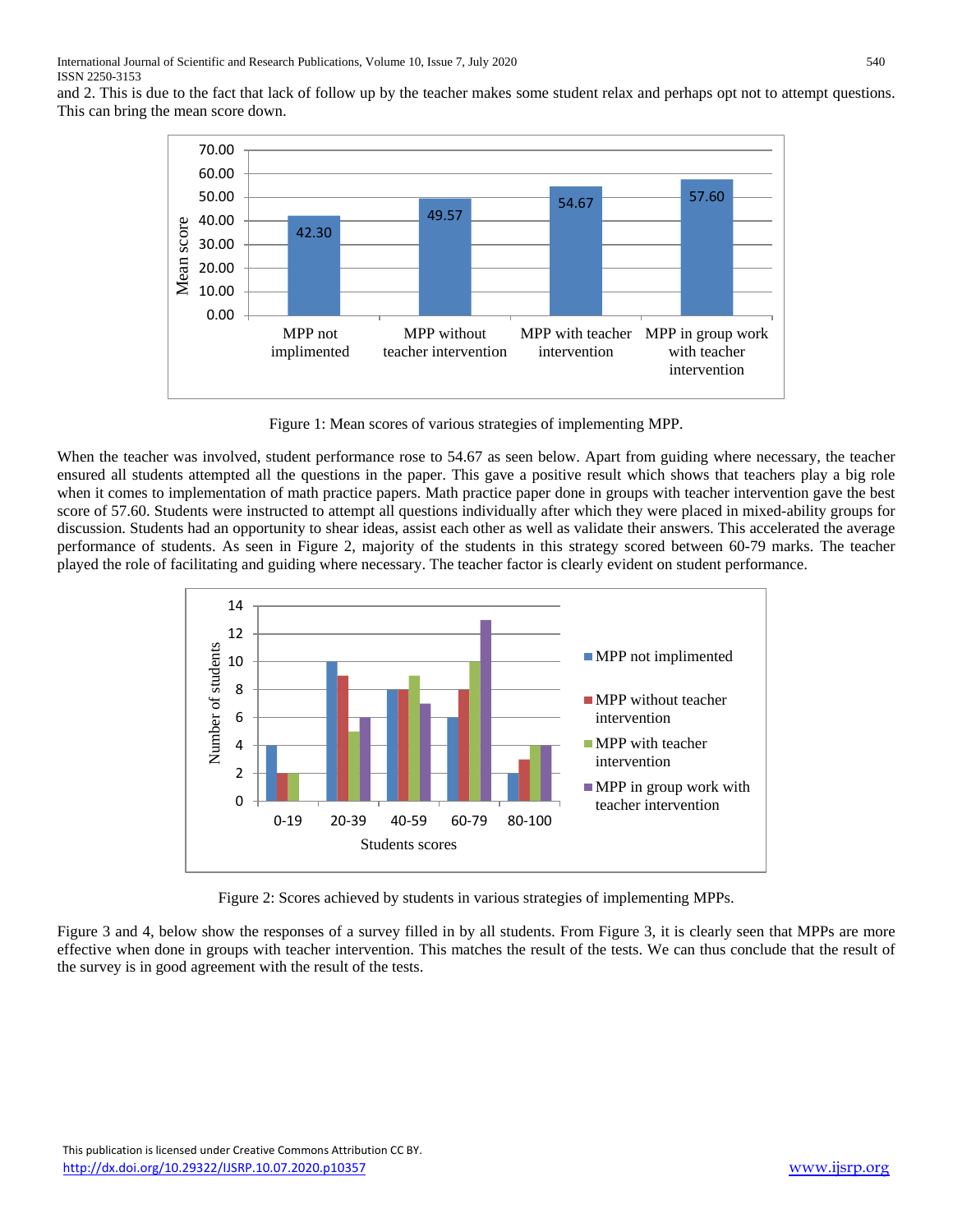and 2. This is due to the fact that lack of follow up by the teacher makes some student relax and perhaps opt not to attempt questions. This can bring the mean score down.



Figure 1: Mean scores of various strategies of implementing MPP.

When the teacher was involved, student performance rose to 54.67 as seen below. Apart from guiding where necessary, the teacher ensured all students attempted all the questions in the paper. This gave a positive result which shows that teachers play a big role when it comes to implementation of math practice papers. Math practice paper done in groups with teacher intervention gave the best score of 57.60. Students were instructed to attempt all questions individually after which they were placed in mixed-ability groups for discussion. Students had an opportunity to shear ideas, assist each other as well as validate their answers. This accelerated the average performance of students. As seen in Figure 2, majority of the students in this strategy scored between 60-79 marks. The teacher played the role of facilitating and guiding where necessary. The teacher factor is clearly evident on student performance.



Figure 2: Scores achieved by students in various strategies of implementing MPPs.

Figure 3 and 4, below show the responses of a survey filled in by all students. From Figure 3, it is clearly seen that MPPs are more effective when done in groups with teacher intervention. This matches the result of the tests. We can thus conclude that the result of the survey is in good agreement with the result of the tests.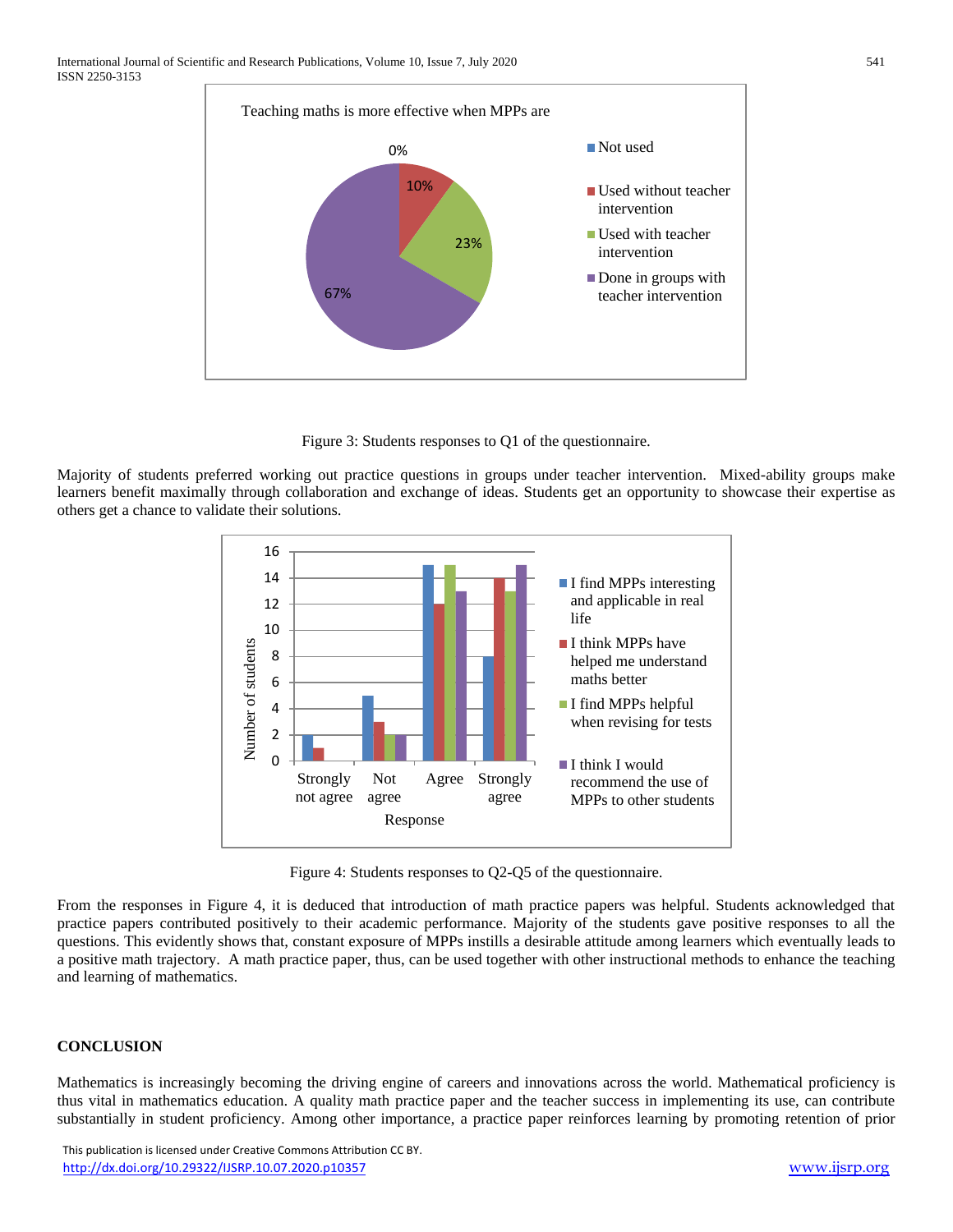

Figure 3: Students responses to Q1 of the questionnaire.

Majority of students preferred working out practice questions in groups under teacher intervention. Mixed-ability groups make learners benefit maximally through collaboration and exchange of ideas. Students get an opportunity to showcase their expertise as others get a chance to validate their solutions.



Figure 4: Students responses to Q2-Q5 of the questionnaire.

From the responses in Figure 4, it is deduced that introduction of math practice papers was helpful. Students acknowledged that practice papers contributed positively to their academic performance. Majority of the students gave positive responses to all the questions. This evidently shows that, constant exposure of MPPs instills a desirable attitude among learners which eventually leads to a positive math trajectory. A math practice paper, thus, can be used together with other instructional methods to enhance the teaching and learning of mathematics.

# **CONCLUSION**

Mathematics is increasingly becoming the driving engine of careers and innovations across the world. Mathematical proficiency is thus vital in mathematics education. A quality math practice paper and the teacher success in implementing its use, can contribute substantially in student proficiency. Among other importance, a practice paper reinforces learning by promoting retention of prior